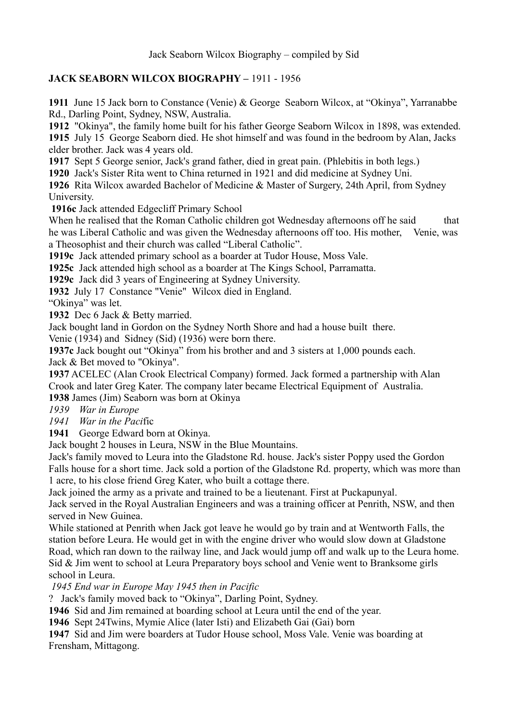## **JACK SEABORN WILCOX BIOGRAPHY –** 1911 - 1956

**1911** June 15 Jack born to Constance (Venie) & George Seaborn Wilcox, at "Okinya", Yarranabbe Rd., Darling Point, Sydney, NSW, Australia.

**1912** "Okinya", the family home built for his father George Seaborn Wilcox in 1898, was extended.

**1915** July 15 George Seaborn died. He shot himself and was found in the bedroom by Alan, Jacks elder brother. Jack was 4 years old.

**1917** Sept 5 George senior, Jack's grand father, died in great pain. (Phlebitis in both legs.)

**1920** Jack's Sister Rita went to China returned in 1921 and did medicine at Sydney Uni.

**1926** Rita Wilcox awarded Bachelor of Medicine & Master of Surgery, 24th April, from Sydney University.

**1916c** Jack attended Edgecliff Primary School

When he realised that the Roman Catholic children got Wednesday afternoons off he said that he was Liberal Catholic and was given the Wednesday afternoons off too. His mother, Venie, was a Theosophist and their church was called "Liberal Catholic".

**1919c** Jack attended primary school as a boarder at Tudor House, Moss Vale.

**1925c** Jack attended high school as a boarder at The Kings School, Parramatta.

**1929c** Jack did 3 years of Engineering at Sydney University.

**1932** July 17 Constance "Venie" Wilcox died in England.

"Okinya" was let.

**1932** Dec 6 Jack & Betty married.

Jack bought land in Gordon on the Sydney North Shore and had a house built there.

Venie (1934) and Sidney (Sid) (1936) were born there.

**1937c** Jack bought out "Okinya" from his brother and and 3 sisters at 1,000 pounds each. Jack & Bet moved to "Okinya".

**1937** ACELEC (Alan Crook Electrical Company) formed. Jack formed a partnership with Alan Crook and later Greg Kater. The company later became Electrical Equipment of Australia.

**1938** James (Jim) Seaborn was born at Okinya

*1939 War in Europe*

*1941 War in the Paci*fic

**1941** George Edward born at Okinya.

Jack bought 2 houses in Leura, NSW in the Blue Mountains.

Jack's family moved to Leura into the Gladstone Rd. house. Jack's sister Poppy used the Gordon Falls house for a short time. Jack sold a portion of the Gladstone Rd. property, which was more than 1 acre, to his close friend Greg Kater, who built a cottage there.

Jack joined the army as a private and trained to be a lieutenant. First at Puckapunyal.

Jack served in the Royal Australian Engineers and was a training officer at Penrith, NSW, and then served in New Guinea.

While stationed at Penrith when Jack got leave he would go by train and at Wentworth Falls, the station before Leura. He would get in with the engine driver who would slow down at Gladstone Road, which ran down to the railway line, and Jack would jump off and walk up to the Leura home. Sid & Jim went to school at Leura Preparatory boys school and Venie went to Branksome girls school in Leura.

*1945 End war in Europe May 1945 then in Pacific*

? Jack's family moved back to "Okinya", Darling Point, Sydney.

**1946** Sid and Jim remained at boarding school at Leura until the end of the year.

**1946** Sept 24Twins, Mymie Alice (later Isti) and Elizabeth Gai (Gai) born

**1947** Sid and Jim were boarders at Tudor House school, Moss Vale. Venie was boarding at Frensham, Mittagong.